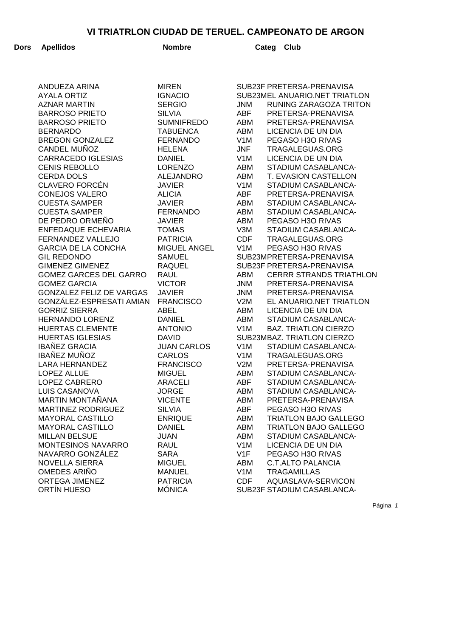| Dors | <b>Apellidos</b>                           | <b>Nombre</b>                  |                                | Categ<br><b>Club</b>                        |
|------|--------------------------------------------|--------------------------------|--------------------------------|---------------------------------------------|
|      |                                            |                                |                                |                                             |
|      | ANDUEZA ARINA                              | <b>MIREN</b>                   |                                | SUB23F PRETERSA-PRENAVISA                   |
|      | <b>AYALA ORTIZ</b>                         | <b>IGNACIO</b>                 |                                | SUB23MEL ANUARIO.NET TRIATLON               |
|      | <b>AZNAR MARTIN</b>                        | <b>SERGIO</b>                  | <b>JNM</b>                     | RUNING ZARAGOZA TRITON                      |
|      | <b>BARROSO PRIETO</b>                      | <b>SILVIA</b>                  | <b>ABF</b>                     | PRETERSA-PRENAVISA                          |
|      | <b>BARROSO PRIETO</b>                      | <b>SUMNIFREDO</b>              | ABM                            | PRETERSA-PRENAVISA                          |
|      | <b>BERNARDO</b>                            | <b>TABUENCA</b>                | <b>ABM</b>                     | LICENCIA DE UN DIA                          |
|      | <b>BREGON GONZALEZ</b>                     | <b>FERNANDO</b>                | V <sub>1</sub> M               | PEGASO H3O RIVAS                            |
|      | CANDEL MUÑOZ                               | <b>HELENA</b>                  | <b>JNF</b>                     | TRAGALEGUAS.ORG                             |
|      | <b>CARRACEDO IGLESIAS</b>                  | <b>DANIEL</b>                  | V <sub>1</sub> M               | LICENCIA DE UN DIA                          |
|      | <b>CENIS REBOLLO</b>                       | <b>LORENZO</b>                 | <b>ABM</b>                     | STADIUM CASABLANCA-                         |
|      | <b>CERDA DOLS</b><br><b>CLAVERO FORCÉN</b> | <b>ALEJANDRO</b>               | <b>ABM</b><br>V <sub>1</sub> M | T. EVASION CASTELLON<br>STADIUM CASABLANCA- |
|      | <b>CONEJOS VALERO</b>                      | <b>JAVIER</b><br><b>ALICIA</b> | <b>ABF</b>                     | PRETERSA-PRENAVISA                          |
|      | <b>CUESTA SAMPER</b>                       | <b>JAVIER</b>                  | <b>ABM</b>                     | STADIUM CASABLANCA-                         |
|      | <b>CUESTA SAMPER</b>                       | <b>FERNANDO</b>                | <b>ABM</b>                     | STADIUM CASABLANCA-                         |
|      | DE PEDRO ORMEÑO                            | <b>JAVIER</b>                  | <b>ABM</b>                     | PEGASO H3O RIVAS                            |
|      | ENFEDAQUE ECHEVARIA                        | <b>TOMAS</b>                   | V3M                            | STADIUM CASABLANCA-                         |
|      | FERNANDEZ VALLEJO                          | <b>PATRICIA</b>                | <b>CDF</b>                     | TRAGALEGUAS.ORG                             |
|      | <b>GARCIA DE LA CONCHA</b>                 | MIGUEL ANGEL                   | V <sub>1</sub> M               | PEGASO H3O RIVAS                            |
|      | <b>GIL REDONDO</b>                         | <b>SAMUEL</b>                  |                                | SUB23MPRETERSA-PRENAVISA                    |
|      | <b>GIMENEZ GIMENEZ</b>                     | <b>RAQUEL</b>                  |                                | SUB23F PRETERSA-PRENAVISA                   |
|      | <b>GOMEZ GARCES DEL GARRO</b>              | <b>RAUL</b>                    | ABM                            | <b>CERRR STRANDS TRIATHLON</b>              |
|      | <b>GOMEZ GARCIA</b>                        | <b>VICTOR</b>                  | JNM                            | PRETERSA-PRENAVISA                          |
|      | <b>GONZALEZ FELIZ DE VARGAS</b>            | <b>JAVIER</b>                  | JNM                            | PRETERSA-PRENAVISA                          |
|      | GONZÁLEZ-ESPRESATI AMIAN                   | <b>FRANCISCO</b>               | V2M                            | EL ANUARIO.NET TRIATLON                     |
|      | <b>GORRIZ SIERRA</b>                       | <b>ABEL</b>                    | ABM                            | LICENCIA DE UN DIA                          |
|      | <b>HERNANDO LORENZ</b>                     | <b>DANIEL</b>                  | ABM                            | STADIUM CASABLANCA-                         |
|      | <b>HUERTAS CLEMENTE</b>                    | <b>ANTONIO</b>                 | V <sub>1</sub> M               | <b>BAZ. TRIATLON CIERZO</b>                 |
|      | <b>HUERTAS IGLESIAS</b>                    | <b>DAVID</b>                   |                                | SUB23MBAZ. TRIATLON CIERZO                  |
|      | <b>IBAÑEZ GRACIA</b>                       | <b>JUAN CARLOS</b>             | V <sub>1</sub> M               | STADIUM CASABLANCA-                         |
|      | IBAÑEZ MUÑOZ                               | CARLOS                         | V <sub>1</sub> M               | TRAGALEGUAS.ORG                             |
|      | <b>LARA HERNANDEZ</b>                      | <b>FRANCISCO</b>               | V2M                            | PRETERSA-PRENAVISA                          |
|      | <b>LOPEZ ALLUE</b>                         | <b>MIGUEL</b>                  | ABM                            | STADIUM CASABLANCA-                         |
|      | LOPEZ CABRERO                              | ARACELI                        | ABF                            | STADIUM CASABLANCA-                         |
|      | LUIS CASANOVA                              | <b>JORGE</b>                   | ABM                            | STADIUM CASABLANCA-                         |
|      | <b>MARTIN MONTAÑANA</b>                    | <b>VICENTE</b>                 | ABM                            | PRETERSA-PRENAVISA                          |
|      | <b>MARTINEZ RODRIGUEZ</b>                  | <b>SILVIA</b>                  | <b>ABF</b>                     | PEGASO H3O RIVAS                            |
|      | <b>MAYORAL CASTILLO</b>                    | <b>ENRIQUE</b>                 | ABM                            | <b>TRIATLON BAJO GALLEGO</b>                |
|      | <b>MAYORAL CASTILLO</b>                    | <b>DANIEL</b>                  | ABM                            | <b>TRIATLON BAJO GALLEGO</b>                |
|      | <b>MILLAN BELSUE</b>                       | <b>JUAN</b>                    | ABM                            | STADIUM CASABLANCA-                         |
|      | MONTESINOS NAVARRO                         | <b>RAUL</b>                    | V1M                            | LICENCIA DE UN DIA                          |
|      | NAVARRO GONZÁLEZ                           | <b>SARA</b>                    | V1F                            | PEGASO H3O RIVAS                            |
|      | <b>NOVELLA SIERRA</b>                      | <b>MIGUEL</b>                  | ABM                            | <b>C.T.ALTO PALANCIA</b>                    |
|      | OMEDES ARIÑO                               | <b>MANUEL</b>                  | V <sub>1</sub> M               | <b>TRAGAMILLAS</b>                          |
|      | <b>ORTEGA JIMENEZ</b>                      | <b>PATRICIA</b>                | <b>CDF</b>                     | AQUASLAVA-SERVICON                          |
|      | ORTÍN HUESO                                | <b>MÓNICA</b>                  |                                | SUB23F STADIUM CASABLANCA-                  |
|      |                                            |                                |                                |                                             |

Página 1